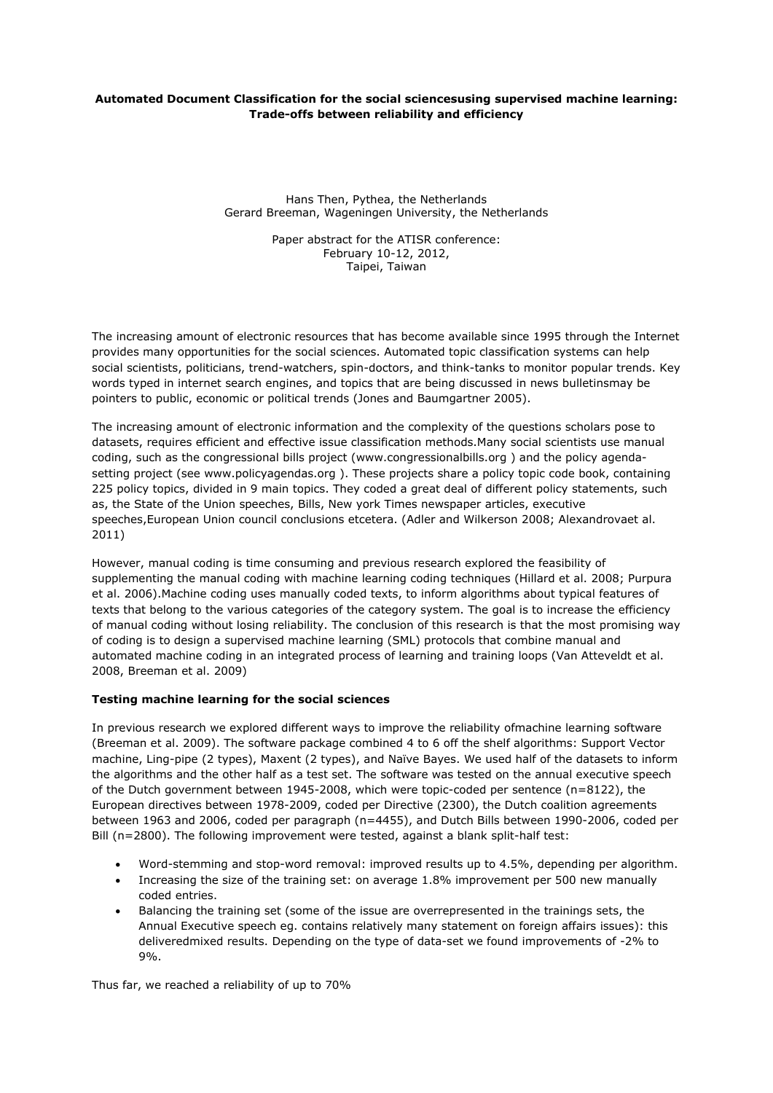# **Automated Document Classification for the social sciencesusing supervised machine learning: Trade-offs between reliability and efficiency**

Hans Then, Pythea, the Netherlands Gerard Breeman, Wageningen University, the Netherlands

> Paper abstract for the ATISR conference: February 10-12, 2012, Taipei, Taiwan

The increasing amount of electronic resources that has become available since 1995 through the Internet provides many opportunities for the social sciences. Automated topic classification systems can help social scientists, politicians, trend-watchers, spin-doctors, and think-tanks to monitor popular trends. Key words typed in internet search engines, and topics that are being discussed in news bulletinsmay be pointers to public, economic or political trends (Jones and Baumgartner 2005).

The increasing amount of electronic information and the complexity of the questions scholars pose to datasets, requires efficient and effective issue classification methods.Many social scientists use manual coding, such as the congressional bills project (www.congressionalbills.org ) and the policy agendasetting project (see www.policyagendas.org ). These projects share a policy topic code book, containing 225 policy topics, divided in 9 main topics. They coded a great deal of different policy statements, such as, the State of the Union speeches, Bills, New york Times newspaper articles, executive speeches,European Union council conclusions etcetera. (Adler and Wilkerson 2008; Alexandrovaet al. 2011)

However, manual coding is time consuming and previous research explored the feasibility of supplementing the manual coding with machine learning coding techniques (Hillard et al. 2008; Purpura et al. 2006).Machine coding uses manually coded texts, to inform algorithms about typical features of texts that belong to the various categories of the category system. The goal is to increase the efficiency of manual coding without losing reliability. The conclusion of this research is that the most promising way of coding is to design a supervised machine learning (SML) protocols that combine manual and automated machine coding in an integrated process of learning and training loops (Van Atteveldt et al. 2008, Breeman et al. 2009)

# **Testing machine learning for the social sciences**

In previous research we explored different ways to improve the reliability ofmachine learning software (Breeman et al. 2009). The software package combined 4 to 6 off the shelf algorithms: Support Vector machine, Ling-pipe (2 types), Maxent (2 types), and Naïve Bayes. We used half of the datasets to inform the algorithms and the other half as a test set. The software was tested on the annual executive speech of the Dutch government between 1945-2008, which were topic-coded per sentence (n=8122), the European directives between 1978-2009, coded per Directive (2300), the Dutch coalition agreements between 1963 and 2006, coded per paragraph (n=4455), and Dutch Bills between 1990-2006, coded per Bill (n=2800). The following improvement were tested, against a blank split-half test:

- Word-stemming and stop-word removal: improved results up to 4.5%, depending per algorithm.
- Increasing the size of the training set: on average 1.8% improvement per 500 new manually coded entries.
- Balancing the training set (some of the issue are overrepresented in the trainings sets, the Annual Executive speech eg. contains relatively many statement on foreign affairs issues): this deliveredmixed results. Depending on the type of data-set we found improvements of -2% to 9%.

Thus far, we reached a reliability of up to 70%